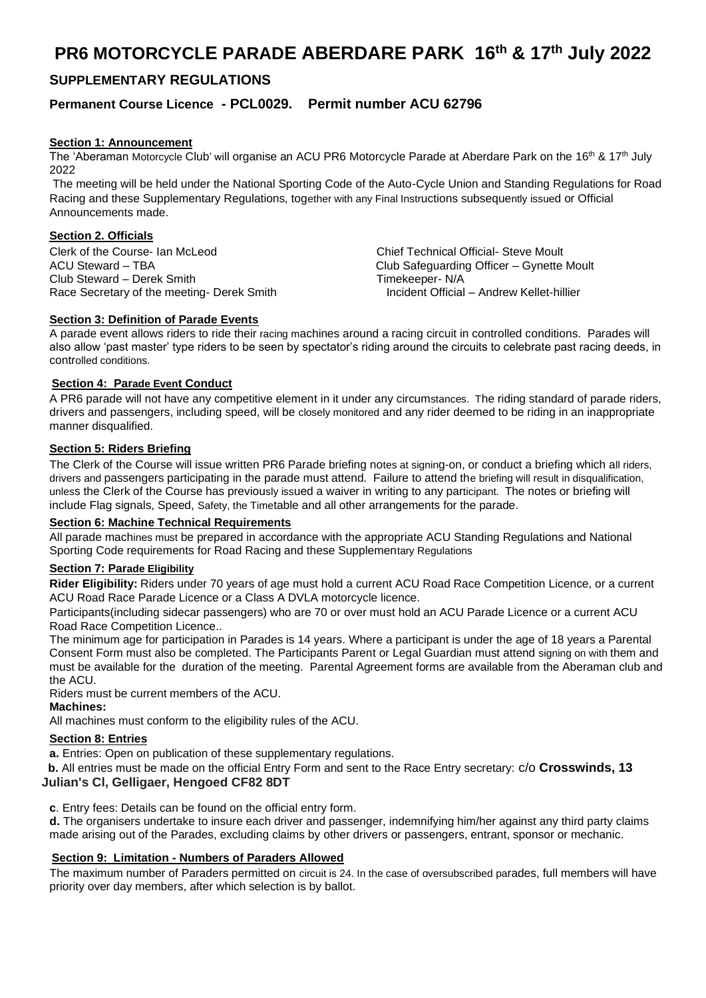# **PR6 MOTORCYCLE PARADE ABERDARE PARK 16th & 17th July 2022**

# **SUPPLEMENTARY REGULATIONS**

# **Permanent Course Licence - PCL0029. Permit number ACU 62796**

# **Section 1: Announcement**

The 'Aberaman Motorcycle Club' will organise an ACU PR6 Motorcycle Parade at Aberdare Park on the 16<sup>th</sup> & 17<sup>th</sup> July 2022

The meeting will be held under the National Sporting Code of the Auto-Cycle Union and Standing Regulations for Road Racing and these Supplementary Regulations, together with any Final Instructions subsequently issued or Official Announcements made.

# **Section 2. Officials**

Clerk of the Course- Ian McLeod ACU Steward – TBA Club Steward – Derek Smith Race Secretary of the meeting- Derek Smith Chief Technical Official- Steve Moult Club Safeguarding Officer – Gynette Moult Timekeeper- N/A<br>Incident Official – Andrew Kellet-hillier

# **Section 3: Definition of Parade Events**

A parade event allows riders to ride their racing machines around a racing circuit in controlled conditions. Parades will also allow 'past master' type riders to be seen by spectator's riding around the circuits to celebrate past racing deeds, in controlled conditions.

# **Section 4: Parade Event Conduct**

A PR6 parade will not have any competitive element in it under any circumstances. The riding standard of parade riders, drivers and passengers, including speed, will be closely monitored and any rider deemed to be riding in an inappropriate manner disqualified.

# **Section 5: Riders Briefing**

The Clerk of the Course will issue written PR6 Parade briefing notes at signing-on, or conduct a briefing which all riders, drivers and passengers participating in the parade must attend. Failure to attend the briefing will result in disqualification, unless the Clerk of the Course has previously issued a waiver in writing to any participant. The notes or briefing will include Flag signals, Speed, Safety, the Timetable and all other arrangements for the parade.

#### **Section 6: Machine Technical Requirements**

All parade machines must be prepared in accordance with the appropriate ACU Standing Regulations and National Sporting Code requirements for Road Racing and these Supplementary Regulations

#### **Section 7: Parade Eligibility**

**Rider Eligibility:** Riders under 70 years of age must hold a current ACU Road Race Competition Licence, or a current ACU Road Race Parade Licence or a Class A DVLA motorcycle licence.

Participants(including sidecar passengers) who are 70 or over must hold an ACU Parade Licence or a current ACU Road Race Competition Licence..

The minimum age for participation in Parades is 14 years. Where a participant is under the age of 18 years a Parental Consent Form must also be completed. The Participants Parent or Legal Guardian must attend signing on with them and must be available for the duration of the meeting. Parental Agreement forms are available from the Aberaman club and the ACU.

Riders must be current members of the ACU.

# **Machines:**

All machines must conform to the eligibility rules of the ACU.

# **Section 8: Entries**

**a.** Entries: Open on publication of these supplementary regulations.

 **b.** All entries must be made on the official Entry Form and sent to the Race Entry secretary: c/o **Crosswinds, 13** 

# **Julian's Cl, Gelligaer, Hengoed CF82 8DT**

**c**. Entry fees: Details can be found on the official entry form.

**d.** The organisers undertake to insure each driver and passenger, indemnifying him/her against any third party claims made arising out of the Parades, excluding claims by other drivers or passengers, entrant, sponsor or mechanic.

# **Section 9: Limitation - Numbers of Paraders Allowed**

The maximum number of Paraders permitted on circuit is 24. In the case of oversubscribed parades, full members will have priority over day members, after which selection is by ballot.